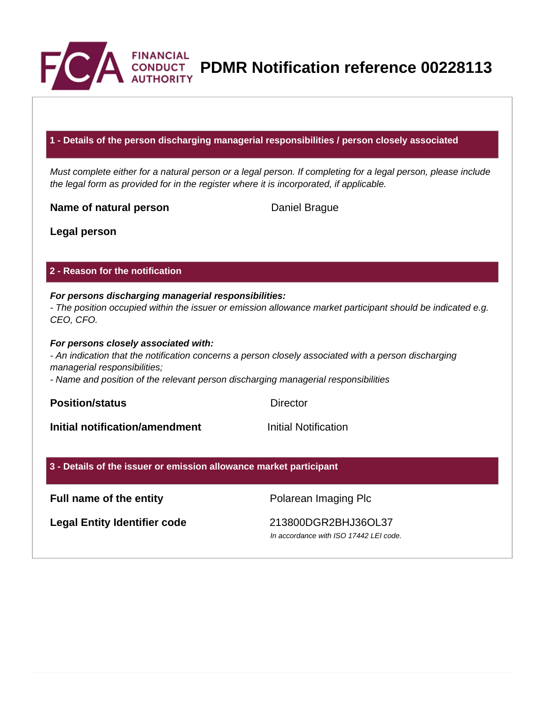

**CONDUCT** PDMR Notification reference 00228113

## **1 - Details of the person discharging managerial responsibilities / person closely associated**

Must complete either for a natural person or a legal person. If completing for a legal person, please include the legal form as provided for in the register where it is incorporated, if applicable.

**Name of natural person** Daniel Brague

**Legal person**

## **2 - Reason for the notification**

#### **For persons discharging managerial responsibilities:** - The position occupied within the issuer or emission allowance market participant should be indicated e.g. CEO, CFO.

### **For persons closely associated with:**

- An indication that the notification concerns a person closely associated with a person discharging managerial responsibilities;

- Name and position of the relevant person discharging managerial responsibilities

**Position/status** Director

**Initial notification/amendment Initial Notification** 

# **3 - Details of the issuer or emission allowance market participant**

# **Full name of the entity Polarean Imaging Plc**

**Legal Entity Identifier code** 213800DGR2BHJ36OL37

In accordance with ISO 17442 LEI code.